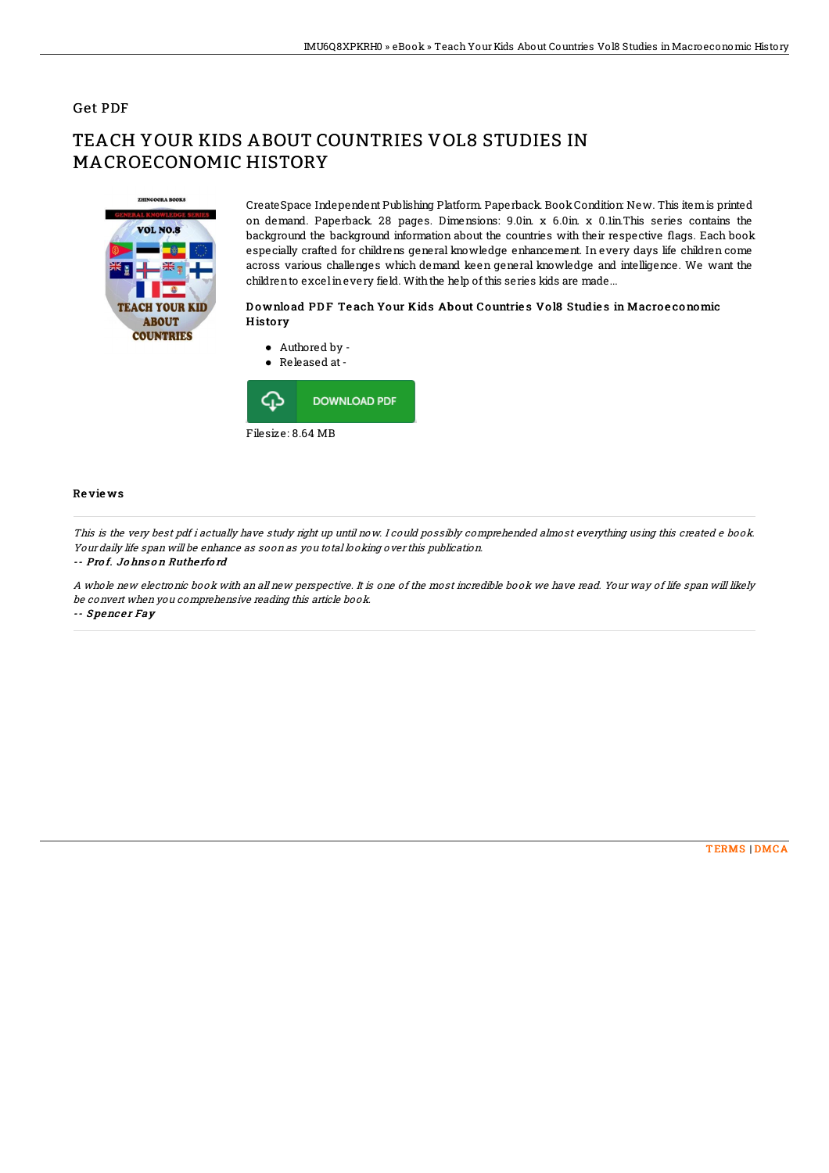# Get PDF

# TEACH YOUR KIDS ABOUT COUNTRIES VOL8 STUDIES IN MACROECONOMIC HISTORY



CreateSpace Independent Publishing Platform. Paperback. BookCondition: New. This itemis printed on demand. Paperback. 28 pages. Dimensions: 9.0in. x 6.0in. x 0.1in.This series contains the background the background information about the countries with their respective flags. Each book especially crafted for childrens general knowledge enhancement. In every days life children come across various challenges which demand keen general knowledge and intelligence. We want the childrento excelinevery field. Withthe help of this series kids are made...

#### D o wnlo ad PD F Te ach Your Kids About Countrie s Vo l8 Studie s in Macro e conomic **History**



Filesize: 8.64 MB

### Re vie ws

This is the very best pdf i actually have study right up until now. I could possibly comprehended almost everything using this created <sup>e</sup> book. Your daily life span will be enhance as soon as you total looking over this publication.

#### -- Pro f. Jo hns o <sup>n</sup> Ruthe rfo rd

A whole new electronic book with an all new perspective. It is one of the most incredible book we have read. Your way of life span will likely be convert when you comprehensive reading this article book. -- Spencer Fay